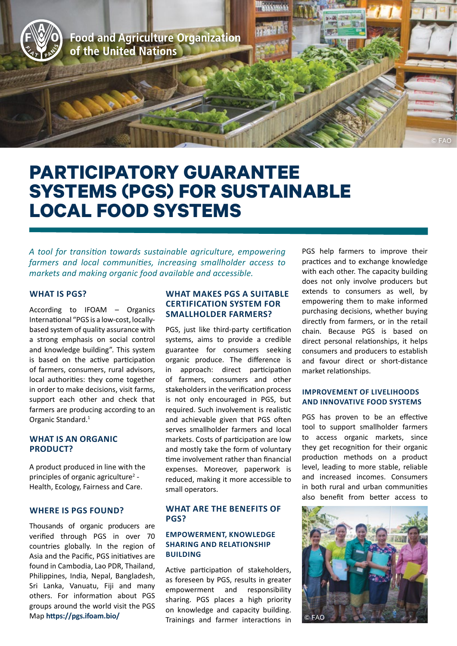

# **PARTICIPATORY GUARANTEE SYSTEMS (PGS) FOR SUSTAINABLE LOCAL FOOD SYSTEMS**

*A tool for transition towards sustainable agriculture, empowering farmers and local communities, increasing smallholder access to markets and making organic food available and accessible.* 

## **WHAT IS PGS?**

According to IFOAM – Organics International "PGS is a low-cost, locallybased system of quality assurance with a strong emphasis on social control and knowledge building". This system is based on the active participation of farmers, consumers, rural advisors, local authorities: they come together in order to make decisions, visit farms, support each other and check that farmers are producing according to an Organic Standard.<sup>1</sup>

### **WHAT IS AN ORGANIC PRODUCT?**

A product produced in line with the principles of organic agriculture<sup>2</sup> -Health, Ecology, Fairness and Care.

## **WHERE IS PGS FOUND?**

Thousands of organic producers are verified through PGS in over 70 countries globally. In the region of Asia and the Pacific, PGS initiatives are found in Cambodia, Lao PDR, Thailand, Philippines, India, Nepal, Bangladesh, Sri Lanka, Vanuatu, Fiji and many others. For information about PGS groups around the world visit the PGS Map **<https://pgs.ifoam.bio/>**

# **WHAT MAKES PGS A SUITABLE CERTIFICATION SYSTEM FOR SMALLHOLDER FARMERS?**

PGS, just like third-party certification systems, aims to provide a credible guarantee for consumers seeking organic produce. The difference is in approach: direct participation of farmers, consumers and other stakeholders in the verification process is not only encouraged in PGS, but required. Such involvement is realistic and achievable given that PGS often serves smallholder farmers and local markets. Costs of participation are low and mostly take the form of voluntary time involvement rather than financial expenses. Moreover, paperwork is reduced, making it more accessible to small operators.

# **WHAT ARE THE BENEFITS OF PGS?**

## **EMPOWERMENT, KNOWLEDGE SHARING AND RELATIONSHIP BUILDING**

Active participation of stakeholders, as foreseen by PGS, results in greater empowerment and responsibility sharing. PGS places a high priority on knowledge and capacity building. Trainings and farmer interactions in PGS help farmers to improve their practices and to exchange knowledge with each other. The capacity building does not only involve producers but extends to consumers as well, by empowering them to make informed purchasing decisions, whether buying directly from farmers, or in the retail chain. Because PGS is based on direct personal relationships, it helps consumers and producers to establish and favour direct or short-distance market relationships.

## **IMPROVEMENT OF LIVELIHOODS AND INNOVATIVE FOOD SYSTEMS**

PGS has proven to be an effective tool to support smallholder farmers to access organic markets, since they get recognition for their organic production methods on a product level, leading to more stable, reliable and increased incomes. Consumers in both rural and urban communities also benefit from better access to